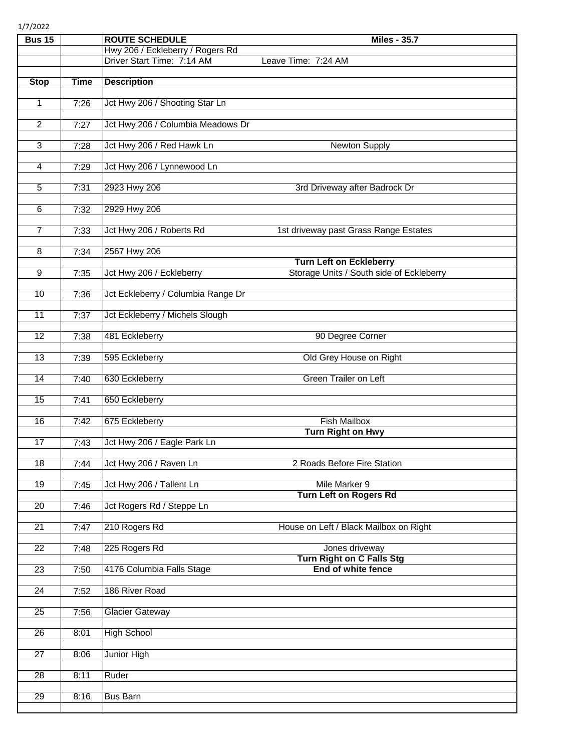1/7/2022

| <b>Bus 15</b>   |             | <b>ROUTE SCHEDULE</b>                                          | <b>Miles - 35.7</b>                                                        |
|-----------------|-------------|----------------------------------------------------------------|----------------------------------------------------------------------------|
|                 |             | Hwy 206 / Eckleberry / Rogers Rd<br>Driver Start Time: 7:14 AM | Leave Time: 7:24 AM                                                        |
|                 |             |                                                                |                                                                            |
| <b>Stop</b>     | <b>Time</b> | <b>Description</b>                                             |                                                                            |
| 1               | 7:26        | Jct Hwy 206 / Shooting Star Ln                                 |                                                                            |
| $\overline{2}$  | 7:27        | Jct Hwy 206 / Columbia Meadows Dr                              |                                                                            |
| 3               | 7:28        | Jct Hwy 206 / Red Hawk Ln                                      | <b>Newton Supply</b>                                                       |
| 4               | 7:29        | Jct Hwy 206 / Lynnewood Ln                                     |                                                                            |
| 5               | 7:31        | 2923 Hwy 206                                                   | 3rd Driveway after Badrock Dr                                              |
| 6               | 7:32        | 2929 Hwy 206                                                   |                                                                            |
| $\overline{7}$  | 7:33        | Jct Hwy 206 / Roberts Rd                                       | 1st driveway past Grass Range Estates                                      |
| $\overline{8}$  | 7:34        | 2567 Hwy 206                                                   |                                                                            |
| $\overline{9}$  | 7:35        | Jct Hwy 206 / Eckleberry                                       | <b>Turn Left on Eckleberry</b><br>Storage Units / South side of Eckleberry |
| 10              | 7:36        | Jct Eckleberry / Columbia Range Dr                             |                                                                            |
|                 |             |                                                                |                                                                            |
| 11              | 7:37        | Jct Eckleberry / Michels Slough                                |                                                                            |
| $\overline{12}$ | 7:38        | 481 Eckleberry                                                 | 90 Degree Corner                                                           |
| $\overline{13}$ | 7:39        | 595 Eckleberry                                                 | Old Grey House on Right                                                    |
| 14              | 7:40        | 630 Eckleberry                                                 | <b>Green Trailer on Left</b>                                               |
| 15              | 7:41        | 650 Eckleberry                                                 |                                                                            |
| 16              | 7:42        | 675 Eckleberry                                                 | <b>Fish Mailbox</b>                                                        |
| 17              | 7:43        | Jct Hwy 206 / Eagle Park Ln                                    | <b>Turn Right on Hwy</b>                                                   |
| $\overline{18}$ | 7:44        | Jct Hwy 206 / Raven Ln                                         | 2 Roads Before Fire Station                                                |
| 19              | 7:45        | Jct Hwy 206 / Tallent Ln                                       | Mile Marker 9<br><b>Turn Left on Rogers Rd</b>                             |
| $\overline{20}$ | 7:46        | Jct Rogers Rd / Steppe Ln                                      |                                                                            |
| 21              | 7:47        | 210 Rogers Rd                                                  | House on Left / Black Mailbox on Right                                     |
| $\overline{22}$ | 7:48        | 225 Rogers Rd                                                  | Jones driveway<br><b>Turn Right on C Falls Stg</b>                         |
| 23              | 7:50        | 4176 Columbia Falls Stage                                      | End of white fence                                                         |
| $\overline{24}$ | 7:52        | 186 River Road                                                 |                                                                            |
| 25              | 7:56        | <b>Glacier Gateway</b>                                         |                                                                            |
| $\overline{26}$ | 8:01        | <b>High School</b>                                             |                                                                            |
| $\overline{27}$ | 8:06        | Junior High                                                    |                                                                            |
| 28              | 8:11        | Ruder                                                          |                                                                            |
| 29              | 8:16        | <b>Bus Barn</b>                                                |                                                                            |
|                 |             |                                                                |                                                                            |